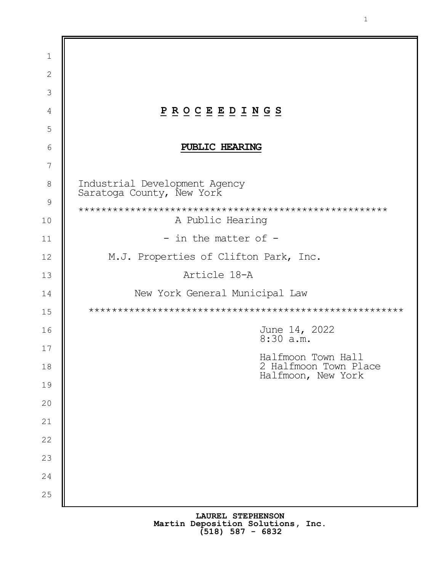| $\mathbf 1$  |                                                                                                                                                             |  |  |  |
|--------------|-------------------------------------------------------------------------------------------------------------------------------------------------------------|--|--|--|
| $\mathbf{2}$ |                                                                                                                                                             |  |  |  |
| 3            |                                                                                                                                                             |  |  |  |
| 4            | $\underline{P} \underline{R} \underline{O} \underline{C} \underline{E} \underline{E} \underline{D} \underline{I} \underline{N} \underline{G} \underline{S}$ |  |  |  |
| 5            |                                                                                                                                                             |  |  |  |
| 6            | PUBLIC HEARING                                                                                                                                              |  |  |  |
| 7            |                                                                                                                                                             |  |  |  |
| 8            | Industrial Development Agency<br>Saratoga County, New York                                                                                                  |  |  |  |
| 9            |                                                                                                                                                             |  |  |  |
| 10           | A Public Hearing                                                                                                                                            |  |  |  |
| 11           | - in the matter of -                                                                                                                                        |  |  |  |
| 12           | M.J. Properties of Clifton Park, Inc.                                                                                                                       |  |  |  |
| 13           | Article 18-A                                                                                                                                                |  |  |  |
| 14           | New York General Municipal Law                                                                                                                              |  |  |  |
| 15           |                                                                                                                                                             |  |  |  |
| 16           | June 14, 2022<br>$8:30$ a.m.                                                                                                                                |  |  |  |
| 17           | Halfmoon Town Hall                                                                                                                                          |  |  |  |
| 18           | 2 Halfmoon Town Place<br>Halfmoon, New York                                                                                                                 |  |  |  |
| 19           |                                                                                                                                                             |  |  |  |
| 20           |                                                                                                                                                             |  |  |  |
| 21           |                                                                                                                                                             |  |  |  |
| 22           |                                                                                                                                                             |  |  |  |
| 23           |                                                                                                                                                             |  |  |  |
| 24           |                                                                                                                                                             |  |  |  |
| 25           |                                                                                                                                                             |  |  |  |
|              |                                                                                                                                                             |  |  |  |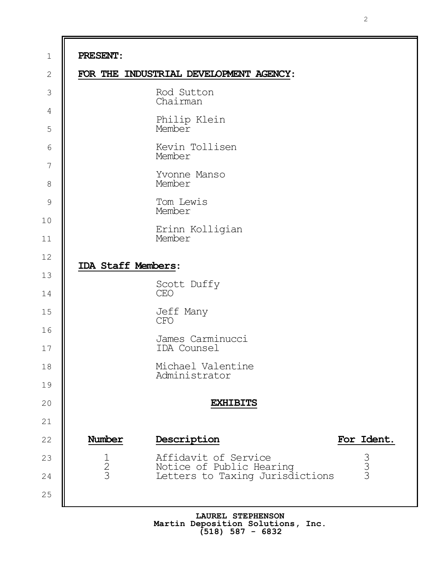1 2 3 4 5 6 7 8 9 10 11 12 13 14 15 16 17 18 19 20 21 22 23 24 25 **PRESENT**: **FOR THE INDUSTRIAL DEVELOPMENT AGENCY**: Rod Sutton Chairman Philip Klein Member Kevin Tollisen Member Yvonne Manso Member Tom Lewis Member Erinn Kolligian Member **IDA Staff Members**: Scott Duffy CEO Jeff Many CFO James Carminucci IDA Counsel Michael Valentine Administrator **EXHIBITS Number Description For Ident.** 1 Affidavit of Service 1<br>2 Notice of Public Hearing 3<br>3 Letters to Taxing Jurisdictions 3 Notice of Public Hearing Letters to Taxing Jurisdictions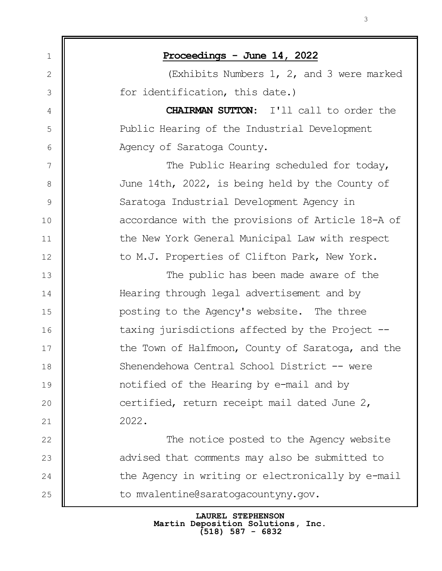| $\mathbf 1$    | Proceedings - June 14, 2022                       |  |
|----------------|---------------------------------------------------|--|
| $\mathbf{2}$   | (Exhibits Numbers $1, 2,$ and 3 were marked       |  |
| 3              | for identification, this date.)                   |  |
| 4              | CHAIRMAN SUTTON: I'll call to order the           |  |
| 5              | Public Hearing of the Industrial Development      |  |
| 6              | Agency of Saratoga County.                        |  |
| $\overline{7}$ | The Public Hearing scheduled for today,           |  |
| $8\,$          | June 14th, 2022, is being held by the County of   |  |
| $\mathsf 9$    | Saratoga Industrial Development Agency in         |  |
| 10             | accordance with the provisions of Article 18-A of |  |
| 11             | the New York General Municipal Law with respect   |  |
| 12             | to M.J. Properties of Clifton Park, New York.     |  |
| 13             | The public has been made aware of the             |  |
| 14             | Hearing through legal advertisement and by        |  |
| 15             | posting to the Agency's website. The three        |  |
| 16             | taxing jurisdictions affected by the Project --   |  |
| 17             | the Town of Halfmoon, County of Saratoga, and the |  |
| 18             | Shenendehowa Central School District -- were      |  |
| 19             | notified of the Hearing by e-mail and by          |  |
| 20             | certified, return receipt mail dated June 2,      |  |
| 21             | 2022.                                             |  |
| 22             | The notice posted to the Agency website           |  |
| 23             | advised that comments may also be submitted to    |  |
| 24             | the Agency in writing or electronically by e-mail |  |
| 25             | to mvalentine@saratogacountyny.gov.               |  |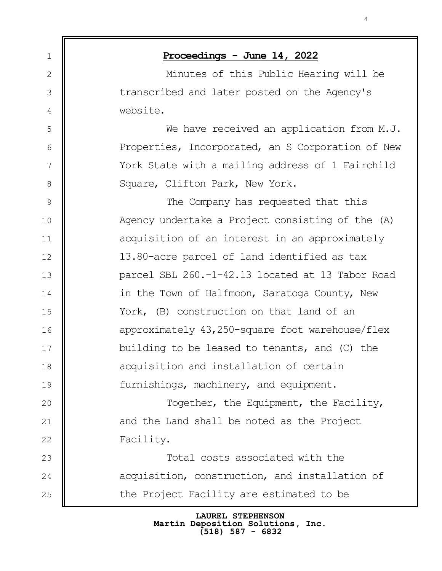| $\mathbf 1$    | Proceedings - June 14, 2022                       |  |
|----------------|---------------------------------------------------|--|
| 2              | Minutes of this Public Hearing will be            |  |
| 3              | transcribed and later posted on the Agency's      |  |
| 4              | website.                                          |  |
| 5              | We have received an application from M.J.         |  |
| 6              | Properties, Incorporated, an S Corporation of New |  |
| $\overline{7}$ | York State with a mailing address of 1 Fairchild  |  |
| $8\,$          | Square, Clifton Park, New York.                   |  |
| $\mathsf 9$    | The Company has requested that this               |  |
| 10             | Agency undertake a Project consisting of the (A)  |  |
| 11             | acquisition of an interest in an approximately    |  |
| 12             | 13.80-acre parcel of land identified as tax       |  |
| 13             | parcel SBL 260.-1-42.13 located at 13 Tabor Road  |  |
| 14             | in the Town of Halfmoon, Saratoga County, New     |  |
| 15             | York, (B) construction on that land of an         |  |
| 16             | approximately 43,250-square foot warehouse/flex   |  |
| 17             | building to be leased to tenants, and (C) the     |  |
| 18             | acquisition and installation of certain           |  |
| 19             | furnishings, machinery, and equipment.            |  |
| 20             | Together, the Equipment, the Facility,            |  |
| 21             | and the Land shall be noted as the Project        |  |
| 22             | Facility.                                         |  |
| 23             | Total costs associated with the                   |  |
| 24             | acquisition, construction, and installation of    |  |
| 25             | the Project Facility are estimated to be          |  |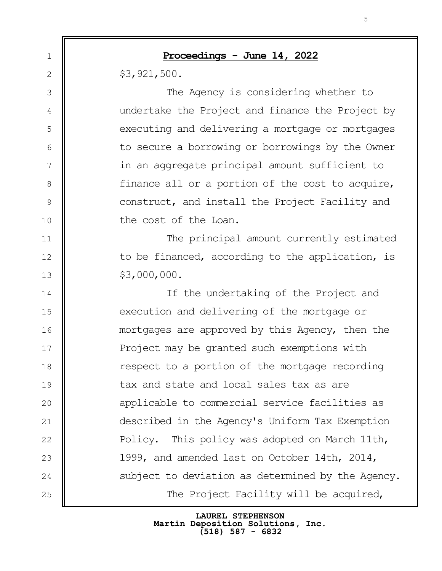1 2 3 4 5 6 7 8 9 10 11 12 13 14 15 16 17 18 19 20 21 22 23 24 25 **Proceedings - June 14, 2022** \$3,921,500. The Agency is considering whether to undertake the Project and finance the Project by executing and delivering a mortgage or mortgages to secure a borrowing or borrowings by the Owner in an aggregate principal amount sufficient to finance all or a portion of the cost to acquire, construct, and install the Project Facility and the cost of the Loan. The principal amount currently estimated to be financed, according to the application, is \$3,000,000. If the undertaking of the Project and execution and delivering of the mortgage or mortgages are approved by this Agency, then the Project may be granted such exemptions with respect to a portion of the mortgage recording tax and state and local sales tax as are applicable to commercial service facilities as described in the Agency's Uniform Tax Exemption Policy. This policy was adopted on March 11th, 1999, and amended last on October 14th, 2014, subject to deviation as determined by the Agency. The Project Facility will be acquired,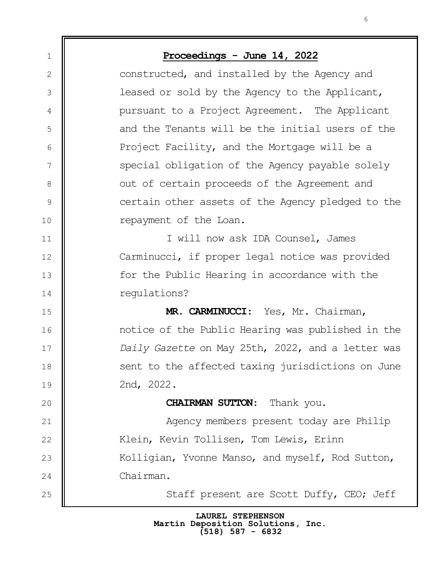| $\mathbf 1$     | Proceedings - June 14, 2022                       |  |  |  |
|-----------------|---------------------------------------------------|--|--|--|
| $\mathbf{2}$    | constructed, and installed by the Agency and      |  |  |  |
| 3               | leased or sold by the Agency to the Applicant,    |  |  |  |
| 4               | pursuant to a Project Agreement. The Applicant    |  |  |  |
| 5               | and the Tenants will be the initial users of the  |  |  |  |
| 6               | Project Facility, and the Mortgage will be a      |  |  |  |
| $7\phantom{.0}$ | special obligation of the Agency payable solely   |  |  |  |
| $8\,$           | out of certain proceeds of the Agreement and      |  |  |  |
| $\mathsf 9$     | certain other assets of the Agency pledged to the |  |  |  |
| 10              | repayment of the Loan.                            |  |  |  |
| 11              | I will now ask IDA Counsel, James                 |  |  |  |
| 12              | Carminucci, if proper legal notice was provided   |  |  |  |
| 13              | for the Public Hearing in accordance with the     |  |  |  |
| 14              | regulations?                                      |  |  |  |
| 15              | MR. CARMINUCCI: Yes, Mr. Chairman,                |  |  |  |
| 16              | notice of the Public Hearing was published in the |  |  |  |
| 17              | Daily Gazette on May 25th, 2022, and a letter was |  |  |  |
| 18              | sent to the affected taxing jurisdictions on June |  |  |  |
| 19              | 2nd, 2022.                                        |  |  |  |
| 20              | <b>CHAIRMAN SUTTON:</b> Thank you.                |  |  |  |
| 21              | Agency members present today are Philip           |  |  |  |
| 22              | Klein, Kevin Tollisen, Tom Lewis, Erinn           |  |  |  |
| 23              | Kolligian, Yvonne Manso, and myself, Rod Sutton,  |  |  |  |
| 24              | Chairman.                                         |  |  |  |
| 25              | Staff present are Scott Duffy, CEO; Jeff          |  |  |  |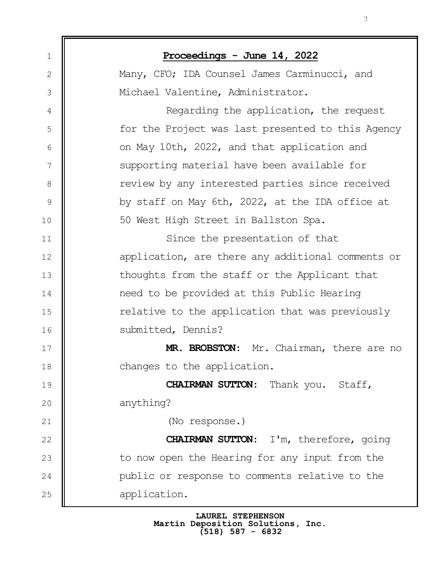| $\mathbf 1$    | Proceedings - June 14, 2022                       |  |
|----------------|---------------------------------------------------|--|
| $\mathbf{2}$   | Many, CFO; IDA Counsel James Carminucci, and      |  |
| 3              | Michael Valentine, Administrator.                 |  |
| $\overline{4}$ | Regarding the application, the request            |  |
| 5              | for the Project was last presented to this Agency |  |
| 6              | on May 10th, 2022, and that application and       |  |
| 7              | supporting material have been available for       |  |
| $8\,$          | review by any interested parties since received   |  |
| $\mathsf 9$    | by staff on May 6th, 2022, at the IDA office at   |  |
| 10             | 50 West High Street in Ballston Spa.              |  |
| 11             | Since the presentation of that                    |  |
| 12             | application, are there any additional comments or |  |
| 13             | thoughts from the staff or the Applicant that     |  |
| 14             | need to be provided at this Public Hearing        |  |
| 15             | relative to the application that was previously   |  |
| 16             | submitted, Dennis?                                |  |
| 17             | MR. BROBSTON: Mr. Chairman, there are no          |  |
| 18             | changes to the application.                       |  |
| 19             | <b>CHAIRMAN SUTTON:</b> Thank you. Staff,         |  |
| 20             | anything?                                         |  |
| 21             | (No response.)                                    |  |
| 22             | <b>CHAIRMAN SUTTON:</b> I'm, therefore, going     |  |
| 23             | to now open the Hearing for any input from the    |  |
| 24             | public or response to comments relative to the    |  |
| 25             | application.                                      |  |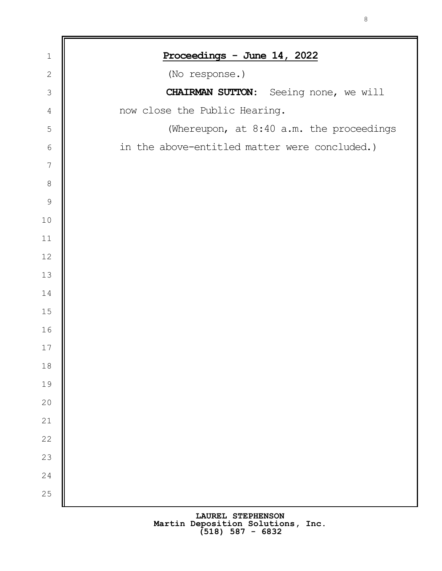| $\mathbf 1$   | Proceedings - June 14, 2022                   |
|---------------|-----------------------------------------------|
| $\sqrt{2}$    | (No response.)                                |
| $\mathcal{S}$ | CHAIRMAN SUTTON: Seeing none, we will         |
| $\sqrt{4}$    | now close the Public Hearing.                 |
| 5             | (Whereupon, at 8:40 a.m. the proceedings      |
| $\sqrt{6}$    | in the above-entitled matter were concluded.) |
| $\sqrt{ }$    |                                               |
| $\,8\,$       |                                               |
| $\mathcal{G}$ |                                               |
| 10            |                                               |
| $11$          |                                               |
| 12            |                                               |
| 13            |                                               |
| 14            |                                               |
| 15            |                                               |
| 16            |                                               |
| 17            |                                               |
| $18$          |                                               |
| 19            |                                               |
| 20            |                                               |
| 21            |                                               |
| 22            |                                               |
| 23            |                                               |
| 24            |                                               |
| 25            |                                               |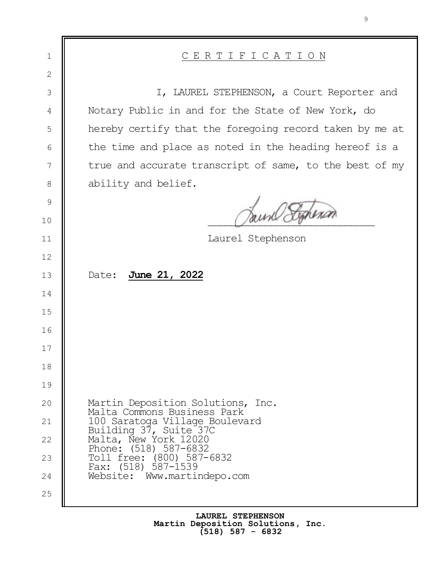| 1              | <u>CERTIFICATION</u>                                                      |  |  |
|----------------|---------------------------------------------------------------------------|--|--|
| $\overline{2}$ |                                                                           |  |  |
| $\mathcal{S}$  | I, LAUREL STEPHENSON, a Court Reporter and                                |  |  |
| $\overline{4}$ | Notary Public in and for the State of New York, do                        |  |  |
| 5              | hereby certify that the foregoing record taken by me at                   |  |  |
| $\epsilon$     | the time and place as noted in the heading hereof is a                    |  |  |
| 7              | true and accurate transcript of same, to the best of my                   |  |  |
| $\,8\,$        | ability and belief.                                                       |  |  |
| $\mathcal{G}$  |                                                                           |  |  |
| 10             |                                                                           |  |  |
| 11             | Laurel Stephenson                                                         |  |  |
| 12             |                                                                           |  |  |
| 13             | June 21, 2022<br>Date:                                                    |  |  |
| 14             |                                                                           |  |  |
| 15             |                                                                           |  |  |
| 16             |                                                                           |  |  |
| 17             |                                                                           |  |  |
| 18             |                                                                           |  |  |
| 19             |                                                                           |  |  |
| 20             | Martin Deposition Solutions, Inc.<br>Malta Commons Business Park          |  |  |
| 21             | 100 Saratoga Village Boulevard<br>Building 37, Suite 37C                  |  |  |
| 22             | Malta, New York 12020                                                     |  |  |
| 23             | Phone: (518) 587-6832<br>Toll free: (800) 587-6832<br>Fax: (518) 587-1539 |  |  |
| 24             | Website: Www.martindepo.com                                               |  |  |
| 25             |                                                                           |  |  |
|                |                                                                           |  |  |

**LAUREL STEPHENSON Martin Deposition Solutions, Inc. (518) 587 - 6832**

⋾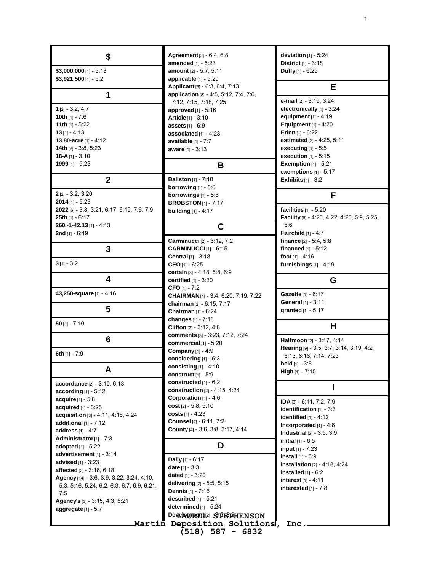**\$ \$3,000,000** [1] - 5:13 **\$3,921,500** [1] - 5:2 **1 1** [2] - 3:2, 4:7 **10th** [1] - 7:6 **11th** [1] - 5:22 **13** [1] - 4:13 **13.80-acre** [1] - 4:12 **14th** [2] - 3:8, 5:23 **18-A** [1] - 3:10 **1999** [1] - 5:23 **2 2** [2] - 3:2, 3:20 **2014** [1] - 5:23 **2022** [6] - 3:8, 3:21, 6:17, 6:19, 7:6, 7:9 **25th** [1] - 6:17 **260.-1-42.13** [1] - 4:13 **2nd** [1] - 6:19 **3 3** [1] - 3:2 **4 43,250-square** [1] - 4:16 **5 50** [1] - 7:10 **6 6th** [1] - 7:9 **A accordance** [2] - 3:10, 6:13 **according** [1] - 5:12 **acquire** [1] - 5:8 **acquired** [1] - 5:25 **acquisition** [3] - 4:11, 4:18, 4:24 **additional** [1] - 7:12 **address** [1] - 4:7 **Administrator**[1] - 7:3 **adopted** [1] - 5:22 **advertisement**[1] - 3:14 **advised** [1] - 3:23 **affected** [2] - 3:16, 6:18 **Agency** [14] - 3:6, 3:9, 3:22, 3:24, 4:10, 5:3, 5:16, 5:24, 6:2, 6:3, 6:7, 6:9, 6:21, 7:5 **Agency's** [3] - 3:15, 4:3, 5:21 **aggregate** [1] - 5:7

**Agreement**[2] - 6:4, 6:8 **amended** [1] - 5:23 **amount** [2] - 5:7, 5:11 **applicable** [1] - 5:20 **Applicant** [3] - 6:3, 6:4, 7:13 **application** [8] - 4:5, 5:12, 7:4, 7:6, 7:12, 7:15, 7:18, 7:25 **approved** [1] - 5:16 **Article** [1] - 3:10 **assets** [1] - 6:9 **associated** [1] - 4:23 **available** [1] - 7:7 **aware** [1] - 3:13 **B Ballston** [1] - 7:10 **borrowing** [1] - 5:6 **borrowings** [1] - 5:6 **BROBSTON** [1] - 7:17 **building** [1] - 4:17 **C Carminucci** [2] - 6:12, 7:2 **CARMINUCCI** [1] - 6:15 **Central** [1] - 3:18 **CEO** [1] - 6:25 **certain** [3] - 4:18, 6:8, 6:9 **certified** [1] - 3:20 **CFO** [1] - 7:2 **CHAIRMAN**[4] - 3:4, 6:20, 7:19, 7:22 **chairman** [2] - 6:15, 7:17 **Chairman** [1] - 6:24 **changes** [1] - 7:18 **Clifton** [2] - 3:12, 4:8 **comments** [3] - 3:23, 7:12, 7:24 **commercial** [1] - 5:20 **Company** [1] - 4:9 **considering** [1] - 5:3 **consisting** [1] - 4:10 **construct** [1] - 5:9 **constructed** [1] - 6:2 **construction** [2] - 4:15, 4:24 **Corporation** [1] - 4:6 **cost** [2] - 5:8, 5:10 **costs** [1] - 4:23 **Counsel** [2] - 6:11, 7:2 **County** [4] - 3:6, 3:8, 3:17, 4:14 **D Daily** [1] - 6:17 **date** [1] - 3:3 **dated** [1] - 3:20 **delivering** [2] - 5:5, 5:15 **Dennis** [1] - 7:16 **described** [1] - 5:21 **determined** [1] - 5:24 **Development<sup>2</sup>** - STEPHENSON **Martin Deposition Solutions, Inc. (518) 587 - 6832 deviation** [1] - 5:24 **District** [1] - 3:18 6:6 **installed** [1] - 6:2 **interest** [1] - 4:11 **interested** [1] - 7:8

**Duffy** [1] - 6:25 **E e-mail** [2] - 3:19, 3:24 **electronically** [1] - 3:24 **equipment** [1] - 4:19 **Equipment** [1] - 4:20 **Erinn** [1] - 6:22 **estimated** [2] - 4:25, 5:11 **executing** [1] - 5:5 **execution** [1] - 5:15 **Exemption** [1] - 5:21 **exemptions** [1] - 5:17 **Exhibits** [1] - 3:2 **F facilities** [1] - 5:20 **Facility** [6] - 4:20, 4:22, 4:25, 5:9, 5:25, **Fairchild** [1] - 4:7 **finance** [2] - 5:4, 5:8 **financed** [1] - 5:12 **foot** [1] - 4:16 **furnishings** [1] - 4:19 **G Gazette** [1] - 6:17 **General** [1] - 3:11 **granted** [1] - 5:17 **H Halfmoon** [2] - 3:17, 4:14 **Hearing** [9] - 3:5, 3:7, 3:14, 3:19, 4:2, 6:13, 6:16, 7:14, 7:23 **held** [1] - 3:8 **High** [1] - 7:10 **I IDA** [3] - 6:11, 7:2, 7:9 **identification** [1] - 3:3 **identified** [1] - 4:12 **Incorporated** [1] - 4:6 **Industrial** [2] - 3:5, 3:9 **initial** [1] - 6:5 **input** [1] - 7:23 **install** [1] - 5:9 **installation** [2] - 4:18, 4:24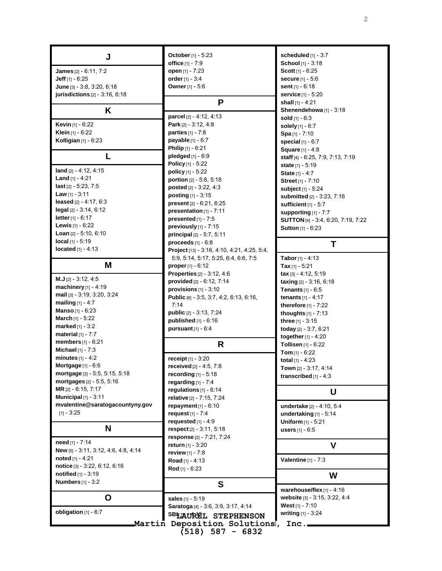| J                                    | October [1] - 5:23                                  | scheduled $[1]$ - 3:7                     |
|--------------------------------------|-----------------------------------------------------|-------------------------------------------|
|                                      | office [1] - 7:9                                    | School [1] - 3:18                         |
| <b>James</b> $[2] - 6.11, 7:2$       | open [1] - 7:23                                     | Scott $[1] - 6:25$                        |
| <b>Jeff</b> $[1] - 6:25$             | order [1] - 3:4                                     | <b>secure</b> $[1] - 5:6$                 |
| June [3] - 3:8, 3:20, 6:18           | Owner [1] - 5:6                                     | sent $[1] - 6:18$                         |
| jurisdictions [2] - 3:16, 6:18       |                                                     | service <sub>[1]</sub> - 5:20             |
|                                      | P                                                   | shall $[1] - 4:21$                        |
| Κ                                    |                                                     | Shenendehowa [1] - 3:18                   |
|                                      | parcel [2] - 4:12, 4:13                             | sold [1] - 6:3                            |
| Kevin [1] - 6:22                     | Park $[2] - 3:12, 4:8$                              | solely $[1] - 6:7$                        |
| Klein [1] - 6:22                     | parties [1] - 7:8                                   | Spa [1] - 7:10                            |
| Kolligian $[1]$ - $6:23$             | payable [1] - 6:7                                   | special [1] - 6:7                         |
|                                      | <b>Philip</b> $[1] - 6:21$                          | <b>Square</b> $[1] - 4:8$                 |
|                                      | pledged $[1] - 6.9$                                 | staff [4] - 6.25, 7:9, 7:13, 7:19         |
| land [2] - 4:12, 4:15                | Policy [1] - 5:22                                   | state [1] - 5:19                          |
| <b>Land</b> $[1] - 4:21$             | policy [1] - 5:22                                   | <b>State</b> $[1] - 4:7$                  |
| last [2] - 5:23, 7:5                 | portion [2] - 5:8, 5:18                             | <b>Street</b> [1] - 7:10                  |
| <b>Law</b> $[1] - 3:11$              | posted [2] - 3:22, 4:3<br>posting [1] - 3:15        | subject [1] - 5:24                        |
| leased $[2] - 4.17, 6.3$             | present [2] - 6:21, 6:25                            | submitted [2] - 3:23, 7:16                |
| $\text{legal } [2] - 3:14, 6:12$     | presentation $[1]$ - 7:11                           | sufficient [1] - 5:7                      |
| <b>letter</b> $[1] - 6:17$           | presented $[1]$ - 7:5                               | supporting $[1]$ - $7:7$                  |
| <b>Lewis</b> $[1] - 6:22$            | previously [1] - 7:15                               | <b>SUTTON</b> [4] - 3:4, 6:20, 7:19, 7:22 |
| <b>Loan</b> $[2] - 5:10, 6:10$       | principal [2] - 5:7, 5:11                           | <b>Sutton</b> [1] - 6:23                  |
| local [1] - 5:19                     | proceeds $[1] - 6.8$                                |                                           |
| <b>located</b> $[1] - 4:13$          | Project [13] - 3.16, 4.10, 4.21, 4.25, 5.4,         | т                                         |
|                                      | 5.9, 5.14, 5.17, 5.25, 6.4, 6.6, 7.5                | <b>Tabor</b> [1] - 4:13                   |
| M                                    | <b>proper</b> $[1] - 6:12$                          | <b>Tax</b> [1] - 5:21                     |
|                                      | <b>Properties</b> [2] - 3:12, 4:6                   | $\textsf{tax}$ [3] - 4:12, 5:19           |
| $M.J$ [2] - 3:12, 4:5                | provided [2] - 6:12, 7:14                           | taxing [2] - 3:16, 6:18                   |
| machinery [1] - 4:19                 | provisions $[1]$ - 3:10                             | <b>Tenants</b> $[1] - 6.5$                |
| mail [3] - 3:19, 3:20, 3:24          | Public [6] - 3:5, 3:7, 4:2, 6:13, 6:16,             | <b>tenants</b> [1] - 4:17                 |
| <b>mailing</b> $[1] - 4:7$           | 7:14                                                | therefore $[1]$ - $7:22$                  |
| <b>Manso</b> [1] - 6:23              | public [2] - 3:13, 7:24                             | thoughts $[1] - 7:13$                     |
| <b>March</b> $[1] - 5:22$            | published [1] - 6:16                                | three $[1] - 3.15$                        |
| <b>marked</b> $[1] - 3:2$            | pursuant $[1]$ - $6:4$                              | today [2] - 3:7, 6:21                     |
| material $[1]$ - 7:7                 |                                                     | together $[1] - 4:20$                     |
| members [1] - 6:21                   | R                                                   | <b>Tollisen</b> $[1] - 6:22$              |
| Michael [1] - 7:3                    |                                                     | <b>Tom</b> [1] - $6:22$                   |
| minutes $[1] - 4:2$                  | receipt [1] - 3:20                                  | total $[1] - 4.23$                        |
| Mortgage $[1] - 6.6$                 | received [2] - 4:5, 7:8                             | Town [2] - 3:17, 4:14                     |
| mortgage [3] - 5:5, 5:15, 5:18       | recording $[1]$ - 5:18                              | transcribed $[1] - 4:3$                   |
| mortgages [2] - 5:5, 5:16            | regarding $[1]$ - 7:4                               |                                           |
| MR [2] - 6:15, 7:17                  | regulations $[1]$ - $6:14$                          | U                                         |
| Municipal $[1]$ - 3:11               | relative [2] - 7:15, 7:24                           |                                           |
| mvalentine@saratogacountyny.gov      | repayment $[1] - 6:10$                              | undertake [2] - 4:10, 5:4                 |
| $[1] - 3:25$                         | request $[1] - 7:4$                                 | undertaking $[1]$ - 5:14                  |
|                                      | requested $[1] - 4:9$                               | Uniform [1] - 5:21                        |
| N                                    | respect [2] - 3:11, 5:18                            | <b>users</b> $[1] - 6.5$                  |
| need [1] - 7:14                      | response [2] - 7:21, 7:24                           |                                           |
| New [5] - 3:11, 3:12, 4:6, 4:8, 4:14 | <b>return</b> $[1] - 3:20$                          | $\mathbf v$                               |
| noted [1] - 4:21                     | review $[1] - 7.8$                                  |                                           |
| notice [3] - 3:22, 6:12, 6:16        | <b>Road</b> [1] - 4:13                              | <b>Valentine</b> $[1] - 7.3$              |
| <b>notified</b> $[1] - 3:19$         | Rod [1] - 6:23                                      |                                           |
| <b>Numbers</b> [1] - 3:2             |                                                     | W                                         |
|                                      | S                                                   | warehouse/flex [1] - 4:16                 |
| O                                    | sales [1] - 5:19                                    | website [3] - 3.15, 3.22, 4.4             |
|                                      | Saratoga [4] - 3:6, 3:9, 3:17, 4:14                 | West $[1] - 7:10$                         |
| obligation $[1] - 6:7$               |                                                     | writing [1] - 3:24                        |
|                                      | SBEAUREL STEPHENSON<br>Martin Deposition Solutions, |                                           |
|                                      |                                                     | $Inc.-$                                   |